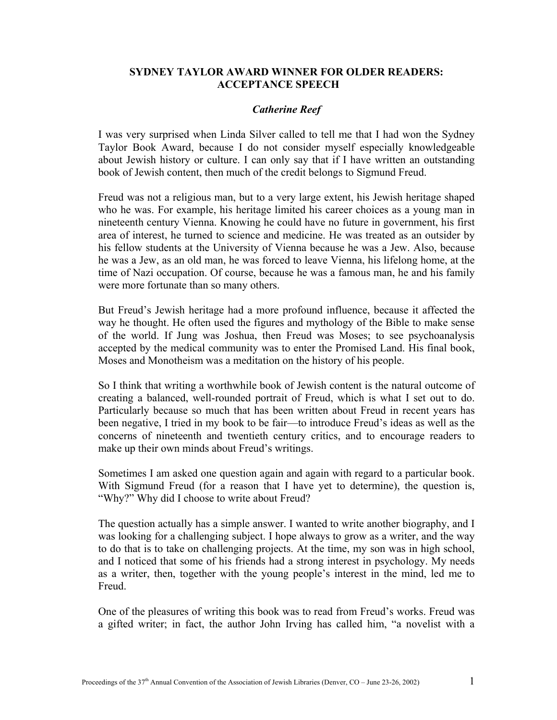## **SYDNEY TAYLOR AWARD WINNER FOR OLDER READERS: ACCEPTANCE SPEECH**

## *Catherine Reef*

I was very surprised when Linda Silver called to tell me that I had won the Sydney Taylor Book Award, because I do not consider myself especially knowledgeable about Jewish history or culture. I can only say that if I have written an outstanding book of Jewish content, then much of the credit belongs to Sigmund Freud.

Freud was not a religious man, but to a very large extent, his Jewish heritage shaped who he was. For example, his heritage limited his career choices as a young man in nineteenth century Vienna. Knowing he could have no future in government, his first area of interest, he turned to science and medicine. He was treated as an outsider by his fellow students at the University of Vienna because he was a Jew. Also, because he was a Jew, as an old man, he was forced to leave Vienna, his lifelong home, at the time of Nazi occupation. Of course, because he was a famous man, he and his family were more fortunate than so many others.

But Freud's Jewish heritage had a more profound influence, because it affected the way he thought. He often used the figures and mythology of the Bible to make sense of the world. If Jung was Joshua, then Freud was Moses; to see psychoanalysis accepted by the medical community was to enter the Promised Land. His final book, Moses and Monotheism was a meditation on the history of his people.

So I think that writing a worthwhile book of Jewish content is the natural outcome of creating a balanced, well-rounded portrait of Freud, which is what I set out to do. Particularly because so much that has been written about Freud in recent years has been negative, I tried in my book to be fair—to introduce Freud's ideas as well as the concerns of nineteenth and twentieth century critics, and to encourage readers to make up their own minds about Freud's writings.

Sometimes I am asked one question again and again with regard to a particular book. With Sigmund Freud (for a reason that I have yet to determine), the question is, "Why?" Why did I choose to write about Freud?

The question actually has a simple answer. I wanted to write another biography, and I was looking for a challenging subject. I hope always to grow as a writer, and the way to do that is to take on challenging projects. At the time, my son was in high school, and I noticed that some of his friends had a strong interest in psychology. My needs as a writer, then, together with the young people's interest in the mind, led me to Freud.

One of the pleasures of writing this book was to read from Freud's works. Freud was a gifted writer; in fact, the author John Irving has called him, "a novelist with a